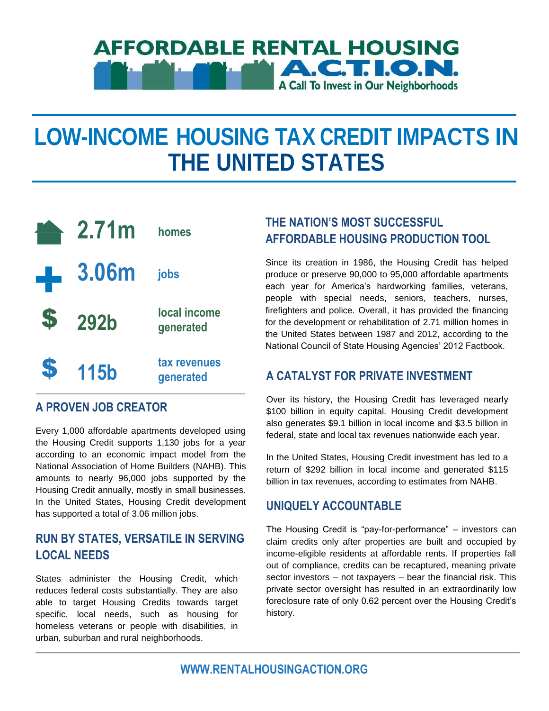# **AFFORDABLE RENTAL HOUSING A.C.T. I.O.N. A Call To Invest in Our Neighborhoods**

# **LOW-INCOME HOUSING TAX CREDIT IMPACTS IN THE UNITED STATES**



#### **A PROVEN JOB CREATOR**

Every 1,000 affordable apartments developed using the Housing Credit supports 1,130 jobs for a year according to an economic impact model from the National Association of Home Builders (NAHB). This amounts to nearly 96,000 jobs supported by the Housing Credit annually, mostly in small businesses. In the United States, Housing Credit development has supported a total of 3.06 million jobs.

#### **RUN BY STATES, VERSATILE IN SERVING LOCAL NEEDS**

States administer the Housing Credit, which reduces federal costs substantially. They are also able to target Housing Credits towards target specific, local needs, such as housing for homeless veterans or people with disabilities, in urban, suburban and rural neighborhoods.

## **THE NATION'S MOST SUCCESSFUL AFFORDABLE HOUSING PRODUCTION TOOL**

Since its creation in 1986, the Housing Credit has helped produce or preserve 90,000 to 95,000 affordable apartments each year for America's hardworking families, veterans, people with special needs, seniors, teachers, nurses, firefighters and police. Overall, it has provided the financing for the development or rehabilitation of 2.71 million homes in the United States between 1987 and 2012, according to the National Council of State Housing Agencies' 2012 Factbook.

#### **A CATALYST FOR PRIVATE INVESTMENT**

Over its history, the Housing Credit has leveraged nearly \$100 billion in equity capital. Housing Credit development also generates \$9.1 billion in local income and \$3.5 billion in federal, state and local tax revenues nationwide each year.

In the United States, Housing Credit investment has led to a return of \$292 billion in local income and generated \$115 billion in tax revenues, according to estimates from NAHB.

#### **UNIQUELY ACCOUNTABLE**

The Housing Credit is "pay-for-performance" – investors can claim credits only after properties are built and occupied by income-eligible residents at affordable rents. If properties fall out of compliance, credits can be recaptured, meaning private sector investors – not taxpayers – bear the financial risk. This private sector oversight has resulted in an extraordinarily low foreclosure rate of only 0.62 percent over the Housing Credit's history.